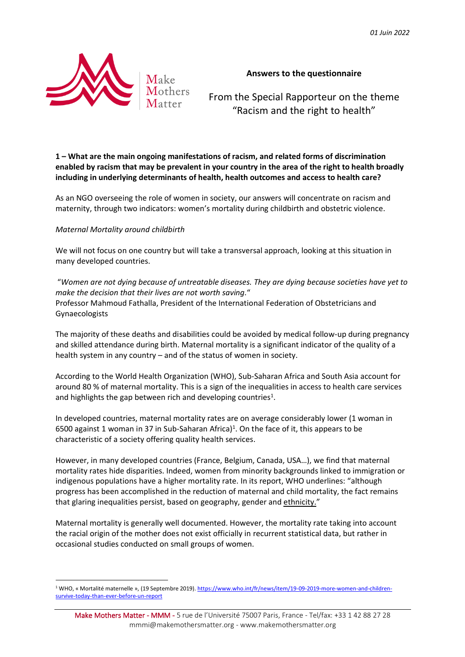

# **Answers to the questionnaire**

From the Special Rapporteur on the theme "Racism and the right to health"

**1 – What are the main ongoing manifestations of racism, and related forms of discrimination enabled by racism that may be prevalent in your country in the area of the right to health broadly including in underlying determinants of health, health outcomes and access to health care?** 

As an NGO overseeing the role of women in society, our answers will concentrate on racism and maternity, through two indicators: women's mortality during childbirth and obstetric violence.

## *Maternal Mortality around childbirth*

We will not focus on one country but will take a transversal approach, looking at this situation in many developed countries.

"*Women are not dying because of untreatable diseases. They are dying because societies have yet to make the decision that their lives are not worth saving.*" Professor Mahmoud Fathalla, President of the International Federation of Obstetricians and Gynaecologists

The majority of these deaths and disabilities could be avoided by medical follow-up during pregnancy and skilled attendance during birth. Maternal mortality is a significant indicator of the quality of a health system in any country – and of the status of women in society.

According to the World Health Organization (WHO), Sub-Saharan Africa and South Asia account for around 80 % of maternal mortality. This is a sign of the inequalities in access to health care services and highlights the gap between rich and developing countries<sup>1</sup>.

In developed countries, maternal mortality rates are on average considerably lower (1 woman in 6500 against 1 woman in 37 in Sub-Saharan Africa)<sup>1</sup>. On the face of it, this appears to be characteristic of a society offering quality health services.

However, in many developed countries (France, Belgium, Canada, USA…), we find that maternal mortality rates hide disparities. Indeed, women from minority backgrounds linked to immigration or indigenous populations have a higher mortality rate. In its report, WHO underlines: "although progress has been accomplished in the reduction of maternal and child mortality, the fact remains that glaring inequalities persist, based on geography, gender and ethnicity."

Maternal mortality is generally well documented. However, the mortality rate taking into account the racial origin of the mother does not exist officially in recurrent statistical data, but rather in occasional studies conducted on small groups of women.

<sup>1</sup> WHO, « Mortalité maternelle », (19 Septembre 2019). [https://www.who.int/fr/news/item/19-09-2019-more-women-and-children](https://www.who.int/fr/news/item/19-09-2019-more-women-and-children-survive-today-than-ever-before-un-report)[survive-today-than-ever-before-un-report](https://www.who.int/fr/news/item/19-09-2019-more-women-and-children-survive-today-than-ever-before-un-report)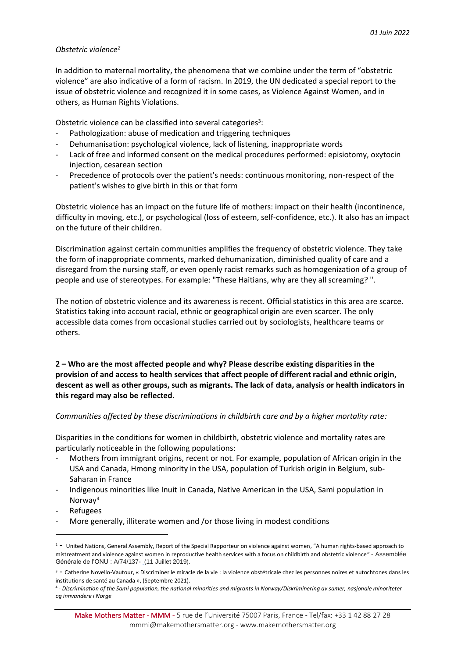## *Obstetric violence<sup>2</sup>*

In addition to maternal mortality, the phenomena that we combine under the term of "obstetric violence" are also indicative of a form of racism. In 2019, the UN dedicated a special report to the issue of obstetric violence and recognized it in some cases, as Violence Against Women, and in others, as Human Rights Violations.

Obstetric violence can be classified into several categories<sup>3</sup>:

- Pathologization: abuse of medication and triggering techniques
- Dehumanisation: psychological violence, lack of listening, inappropriate words
- Lack of free and informed consent on the medical procedures performed: episiotomy, oxytocin injection, cesarean section
- Precedence of protocols over the patient's needs: continuous monitoring, non-respect of the patient's wishes to give birth in this or that form

Obstetric violence has an impact on the future life of mothers: impact on their health (incontinence, difficulty in moving, etc.), or psychological (loss of esteem, self-confidence, etc.). It also has an impact on the future of their children.

Discrimination against certain communities amplifies the frequency of obstetric violence. They take the form of inappropriate comments, marked dehumanization, diminished quality of care and a disregard from the nursing staff, or even openly racist remarks such as homogenization of a group of people and use of stereotypes. For example: "These Haitians, why are they all screaming? ".

The notion of obstetric violence and its awareness is recent. Official statistics in this area are scarce. Statistics taking into account racial, ethnic or geographical origin are even scarcer. The only accessible data comes from occasional studies carried out by sociologists, healthcare teams or others.

**2 – Who are the most affected people and why? Please describe existing disparities in the provision of and access to health services that affect people of different racial and ethnic origin, descent as well as other groups, such as migrants. The lack of data, analysis or health indicators in this regard may also be reflected.**

## *Communities affected by these discriminations in childbirth care and by a higher mortality rate:*

Disparities in the conditions for women in childbirth, obstetric violence and mortality rates are particularly noticeable in the following populations:

- Mothers from immigrant origins, recent or not. For example, population of African origin in the USA and Canada, Hmong minority in the USA, population of Turkish origin in Belgium, sub-Saharan in France
- Indigenous minorities like Inuit in Canada, Native American in the USA, Sami population in Norway<sup>4</sup>
- **Refugees**
- More generally, illiterate women and /or those living in modest conditions

 $2 -$  United Nations, General Assembly, Report of the Special Rapporteur on violence against women, "A human rights-based approach to mistreatment and violence against women in reproductive health services with a focus on childbirth and obstetric violence" - Assemblée Générale de l'ONU : A/74/137- (11 Juillet 2019).

<sup>3</sup> - Catherine Novello-Vautour, « Discriminer le miracle de la vie : la violence obstétricale chez les personnes noires et autochtones dans les institutions de santé au Canada », (Septembre 2021).

<sup>4</sup> - *Discrimination of the Sami population, the national minorities and migrants in Norway/Diskriminering av samer, nasjonale minoriteter og innvandere i Norge*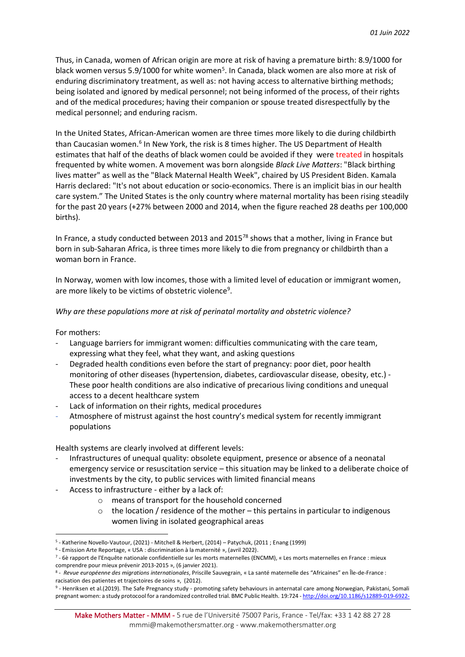Thus, in Canada, women of African origin are more at risk of having a premature birth: 8.9/1000 for black women versus 5.9/1000 for white women<sup>5</sup>. In Canada, black women are also more at risk of enduring discriminatory treatment, as well as: not having access to alternative birthing methods; being isolated and ignored by medical personnel; not being informed of the process, of their rights and of the medical procedures; having their companion or spouse treated disrespectfully by the medical personnel; and enduring racism.

In the United States, African-American women are three times more likely to die during childbirth than Caucasian women.<sup>6</sup> In New York, the risk is 8 times higher. The US Department of Health estimates that half of the deaths of black women could be avoided if they were treated in hospitals frequented by white women. A movement was born alongside *Black Live Matters*: "Black birthing lives matter" as well as the "Black Maternal Health Week", chaired by US President Biden. Kamala Harris declared: "It's not about education or socio-economics. There is an implicit bias in our health care system." The United States is the only country where maternal mortality has been rising steadily for the past 20 years (+27% between 2000 and 2014, when the figure reached 28 deaths per 100,000 births).

In France, a study conducted between 2013 and 2015<sup>78</sup> shows that a mother, living in France but born in sub-Saharan Africa, is three times more likely to die from pregnancy or childbirth than a woman born in France.

In Norway, women with low incomes, those with a limited level of education or immigrant women, are more likely to be victims of obstetric violence<sup>9</sup>.

## *Why are these populations more at risk of perinatal mortality and obstetric violence?*

For mothers:

- Language barriers for immigrant women: difficulties communicating with the care team, expressing what they feel, what they want, and asking questions
- Degraded health conditions even before the start of pregnancy: poor diet, poor health monitoring of other diseases (hypertension, diabetes, cardiovascular disease, obesity, etc.) - These poor health conditions are also indicative of precarious living conditions and unequal access to a decent healthcare system
- Lack of information on their rights, medical procedures
- Atmosphere of mistrust against the host country's medical system for recently immigrant populations

Health systems are clearly involved at different levels:

- Infrastructures of unequal quality: obsolete equipment, presence or absence of a neonatal emergency service or resuscitation service – this situation may be linked to a deliberate choice of investments by the city, to public services with limited financial means
- Access to infrastructure either by a lack of:
	- o means of transport for the household concerned
	- $\circ$  the location / residence of the mother this pertains in particular to indigenous women living in isolated geographical areas

<sup>5</sup> - Katherine Novello-Vautour, (2021) - Mitchell & Herbert, (2014) – Patychuk, (2011 ; Enang (1999)

<sup>6</sup> - Emission Arte Reportage, « USA : discrimination à la maternité », (avril 2022).

<sup>7</sup> - 6è rapport de l'Enquête nationale confidentielle sur les morts maternelles (ENCMM), « Les morts maternelles en France : mieux comprendre pour mieux prévenir 2013-2015 », (6 janvier 2021).

<sup>8</sup> - *Revue européenne des migrations internationales*, Priscille Sauvegrain, « La santé maternelle des "Africaines" en [Île-de-France](https://www.cairn.info/revue-europeenne-des-migrations-internationales-2012-2-page-81.htm) : racisation des patientes et [trajectoires](https://www.cairn.info/revue-europeenne-des-migrations-internationales-2012-2-page-81.htm) de soins », (2012).

<sup>9</sup> - Henriksen et al.(2019). The Safe Pregnancy study - promoting safety behaviours in anternatal care among Norwegian, Pakistani, Somali pregnant women: a study protocool for a randomized controlled trial. BMC Public Health. 19:724 - <http://doi.org/10.1186/s12889-019-6922->